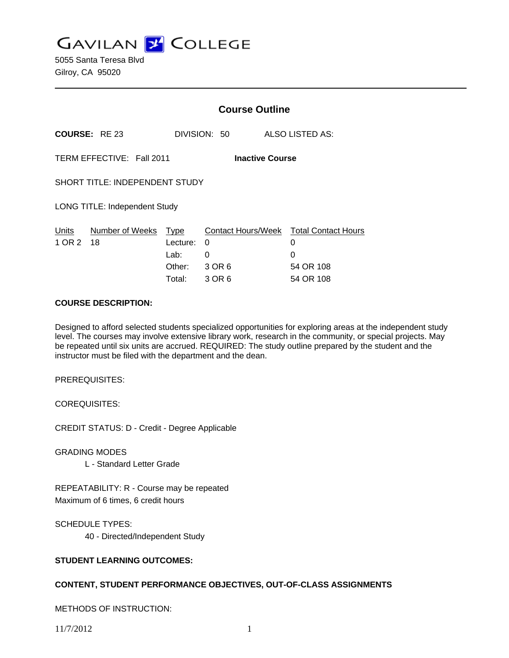**GAVILAN J COLLEGE** 

5055 Santa Teresa Blvd Gilroy, CA 95020

|                                                     |                       | <b>Course Outline</b> |                         |                                 |
|-----------------------------------------------------|-----------------------|-----------------------|-------------------------|---------------------------------|
|                                                     | <b>COURSE: RE23</b>   |                       | DIVISION: 50            | ALSO LISTED AS:                 |
| TERM EFFECTIVE: Fall 2011<br><b>Inactive Course</b> |                       |                       |                         |                                 |
| SHORT TITLE: INDEPENDENT STUDY                      |                       |                       |                         |                                 |
| <b>LONG TITLE: Independent Study</b>                |                       |                       |                         |                                 |
| Units<br>1 OR 2                                     | Number of Weeks<br>18 | Type<br>Lecture:      | Contact Hours/Week<br>0 | <b>Total Contact Hours</b><br>0 |
|                                                     |                       | Lab:                  | $\Omega$                | 0                               |
|                                                     |                       | Other:                | 3 OR 6                  | 54 OR 108                       |
|                                                     |                       | Total:                | 3 OR 6                  | 54 OR 108                       |

#### **COURSE DESCRIPTION:**

Designed to afford selected students specialized opportunities for exploring areas at the independent study level. The courses may involve extensive library work, research in the community, or special projects. May be repeated until six units are accrued. REQUIRED: The study outline prepared by the student and the instructor must be filed with the department and the dean.

PREREQUISITES:

COREQUISITES:

CREDIT STATUS: D - Credit - Degree Applicable

GRADING MODES

L - Standard Letter Grade

REPEATABILITY: R - Course may be repeated Maximum of 6 times, 6 credit hours

SCHEDULE TYPES:

40 - Directed/Independent Study

### **STUDENT LEARNING OUTCOMES:**

## **CONTENT, STUDENT PERFORMANCE OBJECTIVES, OUT-OF-CLASS ASSIGNMENTS**

METHODS OF INSTRUCTION: